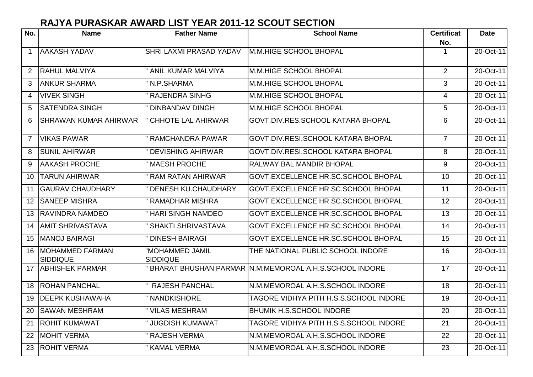## **RAJYA PURASKAR AWARD LIST YEAR 2011-12 SCOUT SECTION**

| No.            | <b>Name</b>                               | <b>Father Name</b>                 | <b>School Name</b>                                     | <b>Certificat</b><br>No. | <b>Date</b>     |
|----------------|-------------------------------------------|------------------------------------|--------------------------------------------------------|--------------------------|-----------------|
| $\mathbf{1}$   | <b>AAKASH YADAV</b>                       | SHRI LAXMI PRASAD YADAV            | M.M.HIGE SCHOOL BHOPAL                                 | 1                        | 20-Oct-11       |
| 2              | <b>RAHUL MALVIYA</b>                      | ANIL KUMAR MALVIYA                 | M.M.HIGE SCHOOL BHOPAL                                 | 2                        | 20-Oct-11       |
| 3              | <b>ANKUR SHARMA</b>                       | N.P.SHARMA                         | M.M.HIGE SCHOOL BHOPAL                                 | 3                        | 20-Oct-11       |
| 4              | <b>VIVEK SINGH</b>                        | <b>RAJENDRA SINHG</b>              | M.M.HIGE SCHOOL BHOPAL                                 | $\overline{4}$           | $20 - Oct - 11$ |
| 5              | <b>SATENDRA SINGH</b>                     | <b>DINBANDAV DINGH</b>             | M.M.HIGE SCHOOL BHOPAL                                 | 5                        | 20-Oct-11       |
| 6              | <b>SHRAWAN KUMAR AHIRWAR</b>              | <b>CHHOTE LAL AHIRWAR</b>          | GOVT.DIV.RES.SCHOOL KATARA BHOPAL                      | 6                        | 20-Oct-11       |
| $\overline{7}$ | <b>VIKAS PAWAR</b>                        | <b>RAMCHANDRA PAWAR</b>            | <b>GOVT.DIV.RESI.SCHOOL KATARA BHOPAL</b>              | $\overline{7}$           | 20-Oct-11       |
| 8              | <b>SUNIL AHIRWAR</b>                      | <b>DEVISHING AHIRWAR</b>           | <b>GOVT.DIV.RESI.SCHOOL KATARA BHOPAL</b>              | 8                        | 20-Oct-11       |
| 9              | <b>AAKASH PROCHE</b>                      | <b>MAESH PROCHE</b>                | <b>RALWAY BAL MANDIR BHOPAL</b>                        | 9                        | 20-Oct-11       |
| 10             | <b>TARUN AHIRWAR</b>                      | <b>RAM RATAN AHIRWAR</b>           | GOVT.EXCELLENCE HR.SC.SCHOOL BHOPAL                    | 10 <sup>1</sup>          | 20-Oct-11       |
| 11             | <b>GAURAV CHAUDHARY</b>                   | <b>DENESH KU.CHAUDHARY</b>         | GOVT.EXCELLENCE HR.SC.SCHOOL BHOPAL                    | 11                       | 20-Oct-11       |
| 12             | <b>SANEEP MISHRA</b>                      | <b>RAMADHAR MISHRA</b>             | GOVT.EXCELLENCE HR.SC.SCHOOL BHOPAL                    | 12                       | 20-Oct-11       |
| 13             | <b>RAVINDRA NAMDEO</b>                    | <b>HARI SINGH NAMDEO</b>           | GOVT.EXCELLENCE HR.SC.SCHOOL BHOPAL                    | 13                       | 20-Oct-11       |
| 14             | <b>AMIT SHRIVASTAVA</b>                   | <b>SHAKTI SHRIVASTAVA</b>          | GOVT.EXCELLENCE HR.SC.SCHOOL BHOPAL                    | 14                       | 20-Oct-11       |
| 15             | <b>MANOJ BAIRAGI</b>                      | <b>DINESH BAIRAGI</b>              | GOVT.EXCELLENCE HR.SC.SCHOOL BHOPAL                    | 15                       | 20-Oct-11       |
| 16             | <b>MOHAMMED FARMAN</b><br><b>SIDDIQUE</b> | "MOHAMMED JAMIL<br><b>SIDDIQUE</b> | THE NATIONAL PUBLIC SCHOOL INDORE                      | 16                       | 20-Oct-11       |
| 17             | <b>ABHISHEK PARMAR</b>                    |                                    | BHARAT BHUSHAN PARMAR N.M.MEMOROAL A.H.S.SCHOOL INDORE | 17                       | 20-Oct-11       |
| 18             | <b>ROHAN PANCHAL</b>                      | <b>RAJESH PANCHAL</b>              | N.M.MEMOROAL A.H.S.SCHOOL INDORE                       | 18                       | 20-Oct-11       |
| 19             | <b>DEEPK KUSHAWAHA</b>                    | <b>NANDKISHORE</b>                 | TAGORE VIDHYA PITH H.S.S.SCHOOL INDORE                 | 19                       | 20-Oct-11       |
| 20             | <b>SAWAN MESHRAM</b>                      | VILAS MESHRAM                      | <b>BHUMIK H.S.SCHOOL INDORE</b>                        | 20                       | 20-Oct-11       |
| 21             | <b>ROHIT KUMAWAT</b>                      | <b>JUGDISH KUMAWAT</b>             | TAGORE VIDHYA PITH H.S.S.SCHOOL INDORE                 | 21                       | 20-Oct-11       |
| 22             | <b>MOHIT VERMA</b>                        | <b>RAJESH VERMA</b>                | N.M.MEMOROAL A.H.S.SCHOOL INDORE                       | 22                       | 20-Oct-11       |
| 23             | <b>ROHIT VERMA</b>                        | <b>KAMAL VERMA</b>                 | N.M.MEMOROAL A.H.S.SCHOOL INDORE                       | 23                       | 20-Oct-11       |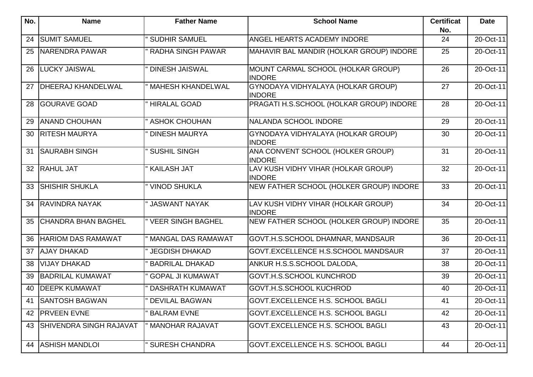| No. | <b>Name</b>                    | <b>Father Name</b>       | <b>School Name</b>                                   | <b>Certificat</b><br>No. | <b>Date</b> |
|-----|--------------------------------|--------------------------|------------------------------------------------------|--------------------------|-------------|
| 24  | <b>SUMIT SAMUEL</b>            | <b>SUDHIR SAMUEL</b>     | ANGEL HEARTS ACADEMY INDORE                          | 24                       | 20-Oct-11   |
| 25  | NARENDRA PAWAR                 | <b>RADHA SINGH PAWAR</b> | MAHAVIR BAL MANDIR (HOLKAR GROUP) INDORE             | 25                       | 20-Oct-11   |
| 26  | <b>LUCKY JAISWAL</b>           | <b>DINESH JAISWAL</b>    | MOUNT CARMAL SCHOOL (HOLKAR GROUP)<br><b>INDORE</b>  | 26                       | 20-Oct-11   |
| 27  | <b>DHEERAJ KHANDELWAL</b>      | <b>MAHESH KHANDELWAL</b> | GYNODAYA VIDHYALAYA (HOLKAR GROUP)<br><b>INDORE</b>  | 27                       | 20-Oct-11   |
| 28  | <b>GOURAVE GOAD</b>            | <b>HIRALAL GOAD</b>      | PRAGATI H.S.SCHOOL (HOLKAR GROUP) INDORE             | 28                       | 20-Oct-11   |
| 29  | <b>ANAND CHOUHAN</b>           | <b>ASHOK CHOUHAN</b>     | NALANDA SCHOOL INDORE                                | 29                       | 20-Oct-11   |
| 30  | <b>RITESH MAURYA</b>           | <b>DINESH MAURYA</b>     | GYNODAYA VIDHYALAYA (HOLKAR GROUP)<br><b>INDORE</b>  | 30                       | 20-Oct-11   |
| 31  | <b>SAURABH SINGH</b>           | <b>SUSHIL SINGH</b>      | ANA CONVENT SCHOOL (HOLKER GROUP)<br><b>INDORE</b>   | 31                       | 20-Oct-11   |
| 32  | <b>RAHUL JAT</b>               | <b>KAILASH JAT</b>       | LAV KUSH VIDHY VIHAR (HOLKAR GROUP)<br><b>INDORE</b> | 32                       | 20-Oct-11   |
| 33  | <b>SHISHIR SHUKLA</b>          | <b>VINOD SHUKLA</b>      | NEW FATHER SCHOOL (HOLKER GROUP) INDORE              | 33                       | 20-Oct-11   |
| 34  | <b>RAVINDRA NAYAK</b>          | " JASWANT NAYAK          | LAV KUSH VIDHY VIHAR (HOLKAR GROUP)<br><b>INDORE</b> | 34                       | 20-Oct-11   |
| 35  | <b>CHANDRA BHAN BAGHEL</b>     | " VEER SINGH BAGHEL      | NEW FATHER SCHOOL (HOLKER GROUP) INDORE              | 35                       | 20-Oct-11   |
| 36  | <b>HARIOM DAS RAMAWAT</b>      | MANGAL DAS RAMAWAT       | GOVT.H.S.SCHOOL DHAMNAR, MANDSAUR                    | 36                       | 20-Oct-11   |
| 37  | <b>AJAY DHAKAD</b>             | <b>JEGDISH DHAKAD</b>    | GOVT.EXCELLENCE H.S.SCHOOL MANDSAUR                  | 37                       | 20-Oct-11   |
| 38  | <b>VIJAY DHAKAD</b>            | <b>BADRILAL DHAKAD</b>   | ANKUR H.S.S.SCHOOL DALODA,                           | 38                       | 20-Oct-11   |
| 39  | <b>BADRILAL KUMAWAT</b>        | <b>GOPAL JI KUMAWAT</b>  | GOVT.H.S.SCHOOL KUNCHROD                             | 39                       | 20-Oct-11   |
| 40  | <b>DEEPK KUMAWAT</b>           | <b>DASHRATH KUMAWAT</b>  | <b>GOVT.H.S.SCHOOL KUCHROD</b>                       | 40                       | 20-Oct-11   |
|     | 41 SANTOSH BAGWAN              | <b>DEVILAL BAGWAN</b>    | GOVT.EXCELLENCE H.S. SCHOOL BAGLI                    | 41                       | 20-Oct-11   |
| 42  | <b>PRVEEN EVNE</b>             | <b>BALRAM EVNE</b>       | <b>GOVT.EXCELLENCE H.S. SCHOOL BAGLI</b>             | 42                       | 20-Oct-11   |
| 43  | <b>SHIVENDRA SINGH RAJAVAT</b> | <b>MANOHAR RAJAVAT</b>   | GOVT.EXCELLENCE H.S. SCHOOL BAGLI                    | 43                       | 20-Oct-11   |
| 44  | <b>ASHISH MANDLOI</b>          | <b>SURESH CHANDRA</b>    | GOVT.EXCELLENCE H.S. SCHOOL BAGLI                    | 44                       | 20-Oct-11   |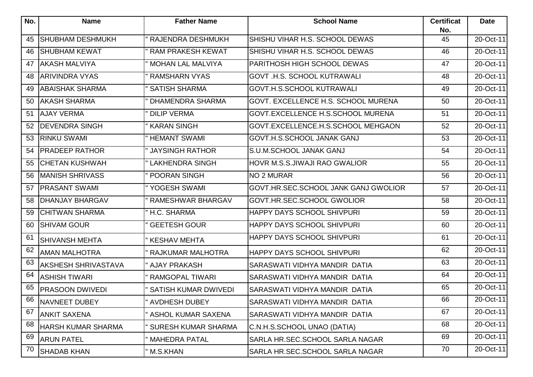| No. | <b>Name</b>               | <b>Father Name</b>          | <b>School Name</b>                   | <b>Certificat</b><br>No. | <b>Date</b> |
|-----|---------------------------|-----------------------------|--------------------------------------|--------------------------|-------------|
| 45  | <b>SHUBHAM DESHMUKH</b>   | <b>RAJENDRA DESHMUKH</b>    | SHISHU VIHAR H.S. SCHOOL DEWAS       | 45                       | 20-Oct-11   |
| 46  | <b>SHUBHAM KEWAT</b>      | <b>RAM PRAKESH KEWAT</b>    | SHISHU VIHAR H.S. SCHOOL DEWAS       | 46                       | 20-Oct-11   |
| 47  | <b>AKASH MALVIYA</b>      | <b>MOHAN LAL MALVIYA</b>    | PARITHOSH HIGH SCHOOL DEWAS          | 47                       | 20-Oct-11   |
| 48  | <b>ARIVINDRA VYAS</b>     | <b>RAMSHARN VYAS</b>        | GOVT .H.S. SCHOOL KUTRAWALI          | 48                       | 20-Oct-11   |
| 49  | <b>ABAISHAK SHARMA</b>    | <b>SATISH SHARMA</b>        | <b>GOVT.H.S.SCHOOL KUTRAWALI</b>     | 49                       | 20-Oct-11   |
| 50  | <b>AKASH SHARMA</b>       | <b>DHAMENDRA SHARMA</b>     | GOVT. EXCELLENCE H.S. SCHOOL MURENA  | 50                       | 20-Oct-11   |
| 51  | <b>AJAY VERMA</b>         | <b>DILIP VERMA</b>          | GOVT.EXCELLENCE H.S.SCHOOL MURENA    | 51                       | 20-Oct-11   |
| 52  | <b>DEVENDRA SINGH</b>     | <b>KARAN SINGH</b>          | GOVT.EXCELLENCE.H.S.SCHOOL MEHGAON   | 52                       | 20-Oct-11   |
| 53  | <b>RINKU SWAMI</b>        | <b>HEMANT SWAMI</b>         | GOVT.H.S.SCHOOL JANAK GANJ           | 53                       | 20-Oct-11   |
| 54  | <b>PRADEEP RATHOR</b>     | <b>JAYSINGH RATHOR</b>      | S.U.M.SCHOOL JANAK GANJ              | 54                       | 20-Oct-11   |
| 55  | <b>CHETAN KUSHWAH</b>     | <b>LAKHENDRA SINGH</b>      | HOVR M.S.S.JIWAJI RAO GWALIOR        | 55                       | 20-Oct-11   |
| 56  | <b>MANISH SHRIVASS</b>    | <b>POORAN SINGH</b>         | NO 2 MURAR                           | 56                       | 20-Oct-11   |
| 57  | <b>PRASANT SWAMI</b>      | " YOGESH SWAMI              | GOVT.HR.SEC.SCHOOL JANK GANJ GWOLIOR | 57                       | 20-Oct-11   |
| 58  | <b>DHANJAY BHARGAV</b>    | <b>RAMESHWAR BHARGAV</b>    | GOVT.HR.SEC.SCHOOL GWOLIOR           | 58                       | 20-Oct-11   |
| 59  | <b>CHITWAN SHARMA</b>     | " H.C. SHARMA               | <b>HAPPY DAYS SCHOOL SHIVPURI</b>    | 59                       | 20-Oct-11   |
| 60  | <b>SHIVAM GOUR</b>        | <b>GEETESH GOUR</b>         | HAPPY DAYS SCHOOL SHIVPURI           | 60                       | 20-Oct-11   |
| 61  | <b>SHIVANSH MEHTA</b>     | <b>KESHAV MEHTA</b>         | HAPPY DAYS SCHOOL SHIVPURI           | 61                       | 20-Oct-11   |
| 62  | <b>AMAN MALHOTRA</b>      | <b>RAJKUMAR MALHOTRA</b>    | <b>HAPPY DAYS SCHOOL SHIVPURI</b>    | 62                       | 20-Oct-11   |
| 63  | AKSHESH SHRIVASTAVA       | " AJAY PRAKASH              | SARASWATI VIDHYA MANDIR DATIA        | 63                       | 20-Oct-11   |
| 64  | <b>ASHISH TIWARI</b>      | <b>RAMGOPAL TIWARI</b>      | SARASWATI VIDHYA MANDIR DATIA        | 64                       | 20-Oct-11   |
| 65  | PRASOON DWIVEDI           | <b>SATISH KUMAR DWIVEDI</b> | SARASWATI VIDHYA MANDIR DATIA        | 65                       | 20-Oct-11   |
| 66  | NAVNEET DUBEY             | <b>AVDHESH DUBEY</b>        | SARASWATI VIDHYA MANDIR DATIA        | 66                       | 20-Oct-11   |
| 67  | <b>ANKIT SAXENA</b>       | ASHOL KUMAR SAXENA          | SARASWATI VIDHYA MANDIR DATIA        | 67                       | 20-Oct-11   |
| 68  | <b>HARSH KUMAR SHARMA</b> | <b>SURESH KUMAR SHARMA</b>  | C.N.H.S.SCHOOL UNAO (DATIA)          | 68                       | 20-Oct-11   |
| 69  | <b>ARUN PATEL</b>         | MAHEDRA PATAL               | SARLA HR.SEC.SCHOOL SARLA NAGAR      | 69                       | 20-Oct-11   |
| 70  | <b>SHADAB KHAN</b>        | " M.S.KHAN                  | SARLA HR.SEC.SCHOOL SARLA NAGAR      | 70                       | 20-Oct-11   |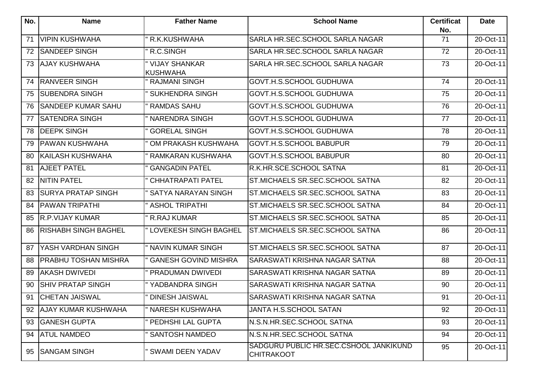| $N$ o. | <b>Name</b>                 | <b>Father Name</b>                      | <b>School Name</b>                                          | <b>Certificat</b><br>No. | <b>Date</b> |
|--------|-----------------------------|-----------------------------------------|-------------------------------------------------------------|--------------------------|-------------|
| 71     | VIPIN KUSHWAHA              | R.K.KUSHWAHA                            | SARLA HR.SEC.SCHOOL SARLA NAGAR                             | 71                       | 20-Oct-11   |
| 72     | <b>SANDEEP SINGH</b>        | R.C.SINGH                               | SARLA HR.SEC.SCHOOL SARLA NAGAR                             | 72                       | 20-Oct-11   |
| 73     | <b>AJAY KUSHWAHA</b>        | <b>VIJAY SHANKAR</b><br><b>KUSHWAHA</b> | SARLA HR.SEC.SCHOOL SARLA NAGAR                             | 73                       | 20-Oct-11   |
| 74     | <b>RANVEER SINGH</b>        | <b>RAJMANI SINGH</b>                    | GOVT.H.S.SCHOOL GUDHUWA                                     | 74                       | 20-Oct-11   |
| 75     | <b>SUBENDRA SINGH</b>       | <b>SUKHENDRA SINGH</b>                  | GOVT.H.S.SCHOOL GUDHUWA                                     | 75                       | 20-Oct-11   |
| 76     | <b>SANDEEP KUMAR SAHU</b>   | <b>RAMDAS SAHU</b>                      | GOVT.H.S.SCHOOL GUDHUWA                                     | 76                       | 20-Oct-11   |
| 77     | <b>SATENDRA SINGH</b>       | <b>NARENDRA SINGH</b>                   | GOVT.H.S.SCHOOL GUDHUWA                                     | 77                       | 20-Oct-11   |
| 78     | <b>DEEPK SINGH</b>          | <b>GORELAL SINGH</b>                    | GOVT.H.S.SCHOOL GUDHUWA                                     | 78                       | 20-Oct-11   |
| 79     | <b>PAWAN KUSHWAHA</b>       | OM PRAKASH KUSHWAHA                     | <b>GOVT.H.S.SCHOOL BABUPUR</b>                              | 79                       | 20-Oct-11   |
| 80     | <b>KAILASH KUSHWAHA</b>     | RAMKARAN KUSHWAHA                       | <b>GOVT.H.S.SCHOOL BABUPUR</b>                              | 80                       | 20-Oct-11   |
| 81     | <b>AJEET PATEL</b>          | <b>GANGADIN PATEL</b>                   | R.K.HR.SCE.SCHOOL SATNA                                     | 81                       | 20-Oct-11   |
| 82     | <b>NITIN PATEL</b>          | <b>CHHATRAPATI PATEL</b>                | ST.MICHAELS SR.SEC.SCHOOL SATNA                             | 82                       | 20-Oct-11   |
| 83     | <b>SURYA PRATAP SINGH</b>   | SATYA NARAYAN SINGH                     | ST.MICHAELS SR.SEC.SCHOOL SATNA                             | 83                       | 20-Oct-11   |
| 84     | <b>PAWAN TRIPATHI</b>       | <b>ASHOL TRIPATHI</b>                   | ST.MICHAELS SR.SEC.SCHOOL SATNA                             | 84                       | 20-Oct-11   |
| 85     | <b>R.P.VIJAY KUMAR</b>      | <b>R.RAJ KUMAR</b>                      | ST.MICHAELS SR.SEC.SCHOOL SATNA                             | 85                       | 20-Oct-11   |
| 86     | <b>RISHABH SINGH BAGHEL</b> | " LOVEKESH SINGH BAGHEL                 | ST.MICHAELS SR.SEC.SCHOOL SATNA                             | 86                       | 20-Oct-11   |
| 87     | YASH VARDHAN SINGH          | <b>NAVIN KUMAR SINGH</b>                | ST.MICHAELS SR.SEC.SCHOOL SATNA                             | 87                       | 20-Oct-11   |
| 88     | <b>PRABHU TOSHAN MISHRA</b> | <b>GANESH GOVIND MISHRA</b>             | SARASWATI KRISHNA NAGAR SATNA                               | 88                       | 20-Oct-11   |
| 89     | <b>AKASH DWIVEDI</b>        | PRADUMAN DWIVEDI                        | SARASWATI KRISHNA NAGAR SATNA                               | 89                       | 20-Oct-11   |
| 90     | <b>SHIV PRATAP SINGH</b>    | YADBANDRA SINGH                         | SARASWATI KRISHNA NAGAR SATNA                               | 90                       | 20-Oct-11   |
| 91     | <b>CHETAN JAISWAL</b>       | <b>DINESH JAISWAL</b>                   | SARASWATI KRISHNA NAGAR SATNA                               | 91                       | 20-Oct-11   |
| 92     | <b>AJAY KUMAR KUSHWAHA</b>  | <b>NARESH KUSHWAHA</b>                  | JANTA H.S.SCHOOL SATAN                                      | 92                       | 20-Oct-11   |
| 93     | <b>GANESH GUPTA</b>         | PEDHSHI LAL GUPTA                       | N.S.N.HR.SEC.SCHOOL SATNA                                   | 93                       | 20-Oct-11   |
| 94     | <b>ATUL NAMDEO</b>          | <b>SANTOSH NAMDEO</b>                   | N.S.N.HR.SEC.SCHOOL SATNA                                   | 94                       | 20-Oct-11   |
| 95     | <b>SANGAM SINGH</b>         | <b>SWAMI DEEN YADAV</b>                 | SADGURU PUBLIC HR.SEC.CSHOOL JANKIKUND<br><b>CHITRAKOOT</b> | 95                       | 20-Oct-11   |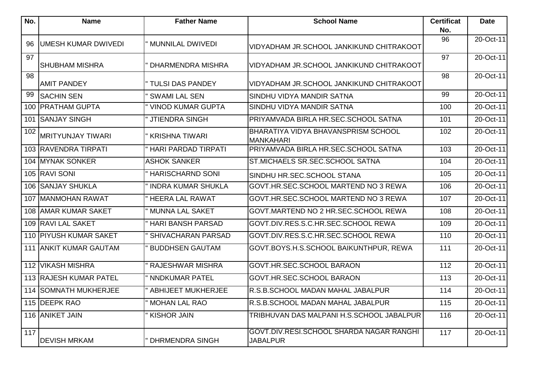| No. | <b>Name</b>                | <b>Father Name</b>         | <b>School Name</b>                                             | <b>Certificat</b><br>No. | <b>Date</b>             |
|-----|----------------------------|----------------------------|----------------------------------------------------------------|--------------------------|-------------------------|
|     |                            |                            |                                                                | 96                       | 20-Oct-11               |
| 96  | <b>UMESH KUMAR DWIVEDI</b> | <b>MUNNILAL DWIVEDI</b>    | VIDYADHAM JR.SCHOOL JANKIKUND CHITRAKOOT                       |                          |                         |
| 97  | <b>SHUBHAM MISHRA</b>      | DHARMENDRA MISHRA          | VIDYADHAM JR.SCHOOL JANKIKUND CHITRAKOOT                       | 97                       | $\overline{20}$ -Oct-11 |
| 98  | <b>AMIT PANDEY</b>         | <b>TULSI DAS PANDEY</b>    | VIDYADHAM JR.SCHOOL JANKIKUND CHITRAKOOT                       | 98                       | 20-Oct-11               |
| 99  | <b>SACHIN SEN</b>          | <b>SWAMI LAL SEN</b>       | SINDHU VIDYA MANDIR SATNA                                      | 99                       | 20-Oct-11               |
| 100 | <b>PRATHAM GUPTA</b>       | <b>VINOD KUMAR GUPTA</b>   | SINDHU VIDYA MANDIR SATNA                                      | 100                      | 20-Oct-11               |
|     | 101 SANJAY SINGH           | <b>JTIENDRA SINGH</b>      | PRIYAMVADA BIRLA HR.SEC.SCHOOL SATNA                           | 101                      | 20-Oct-11               |
| 102 | <b>MRITYUNJAY TIWARI</b>   | <b>KRISHNA TIWARI</b>      | <b>BHARATIYA VIDYA BHAVANSPRISM SCHOOL</b><br><b>MANKAHARI</b> | 102                      | 20-Oct-11               |
|     | 103 RAVENDRA TIRPATI       | <b>HARI PARDAD TIRPATI</b> | PRIYAMVADA BIRLA HR.SEC.SCHOOL SATNA                           | 103                      | 20-Oct-11               |
|     | 104 MYNAK SONKER           | <b>ASHOK SANKER</b>        | ST.MICHAELS SR.SEC.SCHOOL SATNA                                | 104                      | 20-Oct-11               |
|     | 105 RAVI SONI              | <b>HARISCHARND SONI</b>    | SINDHU HR.SEC.SCHOOL STANA                                     | 105                      | 20-Oct-11               |
|     | 106 SANJAY SHUKLA          | <b>INDRA KUMAR SHUKLA</b>  | GOVT.HR.SEC.SCHOOL MARTEND NO 3 REWA                           | 106                      | 20-Oct-11               |
| 107 | MANMOHAN RAWAT             | <b>HEERA LAL RAWAT</b>     | GOVT.HR.SEC.SCHOOL MARTEND NO 3 REWA                           | 107                      | 20-Oct-11               |
| 108 | <b>AMAR KUMAR SAKET</b>    | <b>MUNNA LAL SAKET</b>     | GOVT.MARTEND NO 2 HR.SEC.SCHOOL REWA                           | 108                      | 20-Oct-11               |
|     | 109 RAVI LAL SAKET         | <b>HARI BANSH PARSAD</b>   | GOVT.DIV.RES.S.C.HR.SEC.SCHOOL REWA                            | 109                      | 20-Oct-11               |
|     | 110 PIYUSH KUMAR SAKET     | SHIVACHARAN PARSAD         | GOVT.DIV.RES.S.C.HR.SEC.SCHOOL REWA                            | 110                      | 20-Oct-11               |
|     | 111 ANKIT KUMAR GAUTAM     | <b>BUDDHSEN GAUTAM</b>     | GOVT.BOYS.H.S.SCHOOL BAIKUNTHPUR, REWA                         | 111                      | 20-Oct-11               |
|     | 112 VIKASH MISHRA          | <b>RAJESHWAR MISHRA</b>    | GOVT.HR.SEC.SCHOOL BARAON                                      | 112                      | 20-Oct-11               |
|     | 113 RAJESH KUMAR PATEL     | <b>NNDKUMAR PATEL</b>      | GOVT.HR.SEC.SCHOOL BARAON                                      | 113                      | 20-Oct-11               |
|     | 114 SOMNATH MUKHERJEE      | ABHIJEET MUKHERJEE         | R.S.B.SCHOOL MADAN MAHAL JABALPUR                              | 114                      | 20-Oct-11               |
|     | 115 DEEPK RAO              | <b>MOHAN LAL RAO</b>       | R.S.B.SCHOOL MADAN MAHAL JABALPUR                              | 115                      | 20-Oct-11               |
|     | 116 ANIKET JAIN            | <b>KISHOR JAIN</b>         | TRIBHUVAN DAS MALPANI H.S.SCHOOL JABALPUR                      | 116                      | 20-Oct-11               |
| 117 | <b>DEVISH MRKAM</b>        | <b>DHRMENDRA SINGH</b>     | GOVT.DIV.RESI.SCHOOL SHARDA NAGAR RANGHI<br><b>JABALPUR</b>    | 117                      | 20-Oct-11               |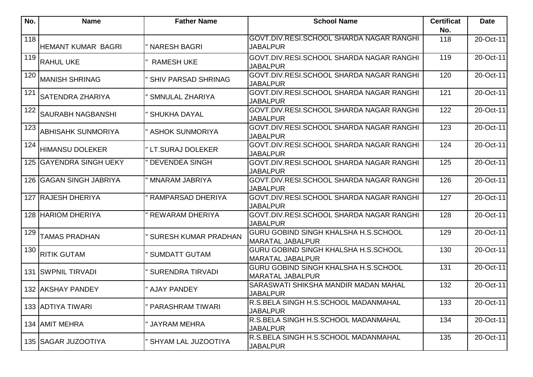| No. | <b>Name</b>                | <b>Father Name</b>          | <b>School Name</b>                                                     | <b>Certificat</b><br>No. | <b>Date</b> |
|-----|----------------------------|-----------------------------|------------------------------------------------------------------------|--------------------------|-------------|
| 118 | <b>HEMANT KUMAR BAGRI</b>  | " NARESH BAGRI              | GOVT.DIV.RESI.SCHOOL SHARDA NAGAR RANGHI<br><b>JABALPUR</b>            | 118                      | 20-Oct-11   |
| 119 | <b>RAHUL UKE</b>           | <b>RAMESH UKE</b>           | GOVT.DIV.RESI.SCHOOL SHARDA NAGAR RANGHI<br><b>JABALPUR</b>            | 119                      | 20-Oct-11   |
| 120 | <b>MANISH SHRINAG</b>      | <b>SHIV PARSAD SHRINAG</b>  | GOVT.DIV.RESI.SCHOOL SHARDA NAGAR RANGHI<br><b>JABALPUR</b>            | 120                      | 20-Oct-11   |
| 121 | <b>SATENDRA ZHARIYA</b>    | <b>SMNULAL ZHARIYA</b>      | GOVT.DIV.RESI.SCHOOL SHARDA NAGAR RANGHI<br><b>JABALPUR</b>            | 121                      | 20-Oct-11   |
| 122 | <b>SAURABH NAGBANSHI</b>   | <b>SHUKHA DAYAL</b>         | GOVT.DIV.RESI.SCHOOL SHARDA NAGAR RANGHI<br><b>JABALPUR</b>            | 122                      | 20-Oct-11   |
| 123 | <b>ABHISAHK SUNMORIYA</b>  | " ASHOK SUNMORIYA           | GOVT.DIV.RESI.SCHOOL SHARDA NAGAR RANGHI<br><b>JABALPUR</b>            | 123                      | 20-Oct-11   |
| 124 | <b>HIMANSU DOLEKER</b>     | " LT.SURAJ DOLEKER          | GOVT.DIV.RESI.SCHOOL SHARDA NAGAR RANGHI<br><b>JABALPUR</b>            | 124                      | 20-Oct-11   |
|     | 125 GAYENDRA SINGH UEKY    | <b>DEVENDEA SINGH</b>       | GOVT.DIV.RESI.SCHOOL SHARDA NAGAR RANGHI<br><b>JABALPUR</b>            | 125                      | 20-Oct-11   |
|     | 126 IGAGAN SINGH JABRIYA   | <b>MNARAM JABRIYA</b>       | GOVT.DIV.RESI.SCHOOL SHARDA NAGAR RANGHI<br><b>JABALPUR</b>            | 126                      | 20-Oct-11   |
|     | 127 RAJESH DHERIYA         | RAMPARSAD DHERIYA           | GOVT.DIV.RESI.SCHOOL SHARDA NAGAR RANGHI<br><b>JABALPUR</b>            | 127                      | 20-Oct-11   |
|     | 128 HARIOM DHERIYA         | <b>REWARAM DHERIYA</b>      | GOVT.DIV.RESI.SCHOOL SHARDA NAGAR RANGHI<br><b>JABALPUR</b>            | 128                      | 20-Oct-11   |
| 129 | <b>TAMAS PRADHAN</b>       | <b>SURESH KUMAR PRADHAN</b> | <b>GURU GOBIND SINGH KHALSHA H.S.SCHOOL</b><br>MARATAL JABALPUR        | 129                      | 20-Oct-11   |
| 130 | <b>RITIK GUTAM</b>         | <b>SUMDATT GUTAM</b>        | <b>GURU GOBIND SINGH KHALSHA H.S.SCHOOL</b><br><b>MARATAL JABALPUR</b> | 130                      | 20-Oct-11   |
|     | <b>131 ISWPNIL TIRVADI</b> | SURENDRA TIRVADI            | <b>GURU GOBIND SINGH KHALSHA H.S.SCHOOL</b><br><b>MARATAL JABALPUR</b> | 131                      | 20-Oct-11   |
|     | 132 AKSHAY PANDEY          | " AJAY PANDEY               | SARASWATI SHIKSHA MANDIR MADAN MAHAL<br><b>JABALPUR</b>                | 132                      | 20-Oct-11   |
|     | 133 ADTIYA TIWARI          | " PARASHRAM TIWARI          | R.S.BELA SINGH H.S.SCHOOL MADANMAHAL<br><b>JABALPUR</b>                | 133                      | 20-Oct-11   |
|     | 134 AMIT MEHRA             | " JAYRAM MEHRA              | R.S.BELA SINGH H.S.SCHOOL MADANMAHAL<br><b>JABALPUR</b>                | 134                      | 20-Oct-11   |
|     | 135 SAGAR JUZOOTIYA        | SHYAM LAL JUZOOTIYA         | R.S.BELA SINGH H.S.SCHOOL MADANMAHAL<br>JABALPUR                       | 135                      | 20-Oct-11   |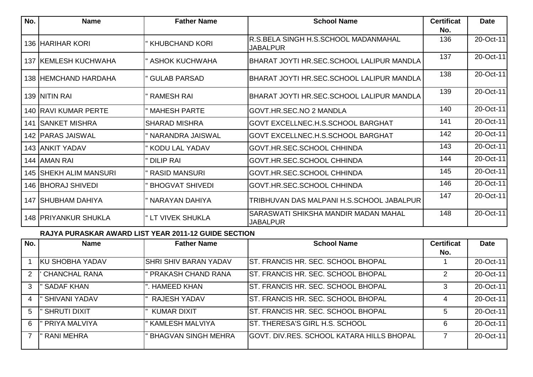| No. | <b>Name</b>                   | <b>Father Name</b>     | <b>School Name</b>                                      | <b>Certificat</b> | <b>Date</b> |
|-----|-------------------------------|------------------------|---------------------------------------------------------|-------------------|-------------|
|     |                               |                        |                                                         | No.               |             |
|     | 136 IHARIHAR KORI             | ' KHUBCHAND KORI       | R.S.BELA SINGH H.S.SCHOOL MADANMAHAL<br>JABALPUR        | 136               | 20-Oct-11   |
|     | <b>137 KEMLESH KUCHWAHA</b>   | ' ASHOK KUCHWAHA       | BHARAT JOYTI HR.SEC.SCHOOL LALIPUR MANDLA               | 137               | 20-Oct-11   |
|     | 138 HEMCHAND HARDAHA          | <b>GULAB PARSAD</b>    | BHARAT JOYTI HR.SEC.SCHOOL LALIPUR MANDLA               | 138               | 20-Oct-11   |
|     | 139 INITIN RAI                | <b>RAMESH RAI</b>      | BHARAT JOYTI HR.SEC.SCHOOL LALIPUR MANDLA               | 139               | 20-Oct-11   |
|     | <b>140 IRAVI KUMAR PERTE</b>  | <b>MAHESH PARTE</b>    | GOVT.HR.SEC.NO 2 MANDLA                                 | 140               | 20-Oct-11   |
| 141 | <b>SANKET MISHRA</b>          | <b>SHARAD MISHRA</b>   | <b>GOVT EXCELLNEC.H.S.SCHOOL BARGHAT</b>                | 141               | 20-Oct-11   |
|     | 142 PARAS JAISWAL             | NARANDRA JAISWAL       | <b>GOVT EXCELLNEC.H.S.SCHOOL BARGHAT</b>                | 142               | 20-Oct-11   |
|     | <b>143 JANKIT YADAV</b>       | KODU LAL YADAV         | <b>GOVT.HR.SEC.SCHOOL CHHINDA</b>                       | 143               | 20-Oct-11   |
|     | 144 AMAN RAI                  | <b>DILIP RAI</b>       | <b>GOVT.HR.SEC.SCHOOL CHHINDA</b>                       | 144               | 20-Oct-11   |
|     | <b>145 SHEKH ALIM MANSURI</b> | RASID MANSURI          | GOVT.HR.SEC.SCHOOL CHHINDA                              | 145               | 20-Oct-11   |
|     | 146 BHORAJ SHIVEDI            | <b>BHOGVAT SHIVEDI</b> | <b>GOVT.HR.SEC.SCHOOL CHHINDA</b>                       | 146               | 20-Oct-11   |
|     | 147 ISHUBHAM DAHIYA           | NARAYAN DAHIYA         | TRIBHUVAN DAS MALPANI H.S.SCHOOL JABALPUR               | 147               | 20-Oct-11   |
|     | 148 PRIYANKUR SHUKLA          | " LT VIVEK SHUKLA      | SARASWATI SHIKSHA MANDIR MADAN MAHAL<br><b>JABALPUR</b> | 148               | 20-Oct-11   |

## **RAJYA PURASKAR AWARD LIST YEAR 2011-12 GUIDE SECTION**

| No. | <b>Name</b>            | <b>Father Name</b>         | <b>School Name</b>                        | <b>Certificat</b> | <b>Date</b> |
|-----|------------------------|----------------------------|-------------------------------------------|-------------------|-------------|
|     |                        |                            |                                           | No.               |             |
|     | <b>KU SHOBHA YADAV</b> | ISHRI SHIV BARAN YADAV     | IST. FRANCIS HR. SEC. SCHOOL BHOPAL       |                   | 20-Oct-11   |
|     | <b>CHANCHAL RANA</b>   | PRAKASH CHAND RANA         | IST. FRANCIS HR. SEC. SCHOOL BHOPAL       |                   | 20-Oct-11   |
| 3   | ' SADAF KHAN           | ". HAMEED KHAN             | IST. FRANCIS HR. SEC. SCHOOL BHOPAL       |                   | 20-Oct-11   |
|     | ' SHIVANI YADAV        | <b>RAJESH YADAV</b>        | ST. FRANCIS HR. SEC. SCHOOL BHOPAL        | 4                 | 20-Oct-11   |
| 5   | <b>SHRUTI DIXIT</b>    | <b>KUMAR DIXIT</b>         | ST. FRANCIS HR. SEC. SCHOOL BHOPAL        | 5                 | 20-Oct-11   |
| 6   | PRIYA MALVIYA          | <b>KAMLESH MALVIYA</b>     | IST. THERESA'S GIRL H.S. SCHOOL           | 6                 | 20-Oct-11   |
|     | <b>RANI MEHRA</b>      | <b>BHAGVAN SINGH MEHRA</b> | GOVT. DIV.RES. SCHOOL KATARA HILLS BHOPAL |                   | 20-Oct-11   |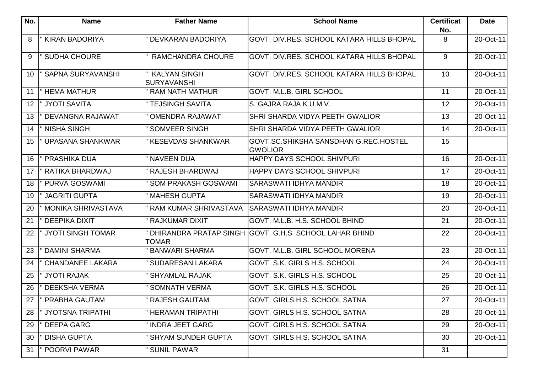| No. | <b>Name</b>               | <b>Father Name</b>                        | <b>School Name</b>                                      | <b>Certificat</b> | <b>Date</b>  |
|-----|---------------------------|-------------------------------------------|---------------------------------------------------------|-------------------|--------------|
| 8   | <b>KIRAN BADORIYA</b>     | DEVKARAN BADORIYA                         | GOVT. DIV.RES. SCHOOL KATARA HILLS BHOPAL               | No.<br>8          | 20-Oct-11    |
|     |                           |                                           |                                                         |                   |              |
| 9   | <b>SUDHA CHOURE</b>       | RAMCHANDRA CHOURE                         | GOVT. DIV.RES. SCHOOL KATARA HILLS BHOPAL               | 9                 | 20-Oct-11    |
| 10  | <b>SAPNA SURYAVANSHI</b>  | <b>KALYAN SINGH</b><br><b>SURYAVANSHI</b> | GOVT. DIV.RES. SCHOOL KATARA HILLS BHOPAL               | 10                | 20-Oct-11    |
| 11  | " HEMA MATHUR             | <b>RAM NATH MATHUR</b>                    | GOVT. M.L.B. GIRL SCHOOL                                | 11                | 20-Oct-11    |
| 12  | " JYOTI SAVITA            | <b>TEJSINGH SAVITA</b>                    | S. GAJRA RAJA K.U.M.V.                                  | 12                | 20-Oct-11    |
| 13  | DEVANGNA RAJAWAT          | <b>OMENDRA RAJAWAT</b>                    | SHRI SHARDA VIDYA PEETH GWALIOR                         | 13                | 20-Oct-11    |
| 14  | <b>NISHA SINGH</b>        | <b>SOMVEER SINGH</b>                      | SHRI SHARDA VIDYA PEETH GWALIOR                         | 14                | 20-Oct-11    |
| 15  | <b>UPASANA SHANKWAR</b>   | <b>KESEVDAS SHANKWAR</b>                  | GOVT.SC.SHIKSHA SANSDHAN G.REC.HOSTEL<br><b>GWOLIOR</b> | 15                |              |
| 16  | PRASHIKA DUA              | <b>NAVEEN DUA</b>                         | <b>HAPPY DAYS SCHOOL SHIVPURI</b>                       | 16                | 20-Oct-11    |
| 17  | RATIKA BHARDWAJ           | <b>RAJESH BHARDWAJ</b>                    | <b>HAPPY DAYS SCHOOL SHIVPURI</b>                       | 17                | 20-Oct-11    |
| 18  | PURVA GOSWAMI             | <b>SOM PRAKASH GOSWAMI</b>                | <b>SARASWATI IDHYA MANDIR</b>                           | 18                | 20-Oct-11    |
| 19  | <b>JAGRITI GUPTA</b>      | <b>MAHESH GUPTA</b>                       | SARASWATI IDHYA MANDIR                                  | 19                | 20-Oct-11    |
| 20  | <b>MONIKA SHRIVASTAVA</b> | <b>RAM KUMAR SHRIVASTAVA</b>              | <b>SARASWATI IDHYA MANDIR</b>                           | 20                | 20-Oct-11    |
| 21  | <b>DEEPIKA DIXIT</b>      | <b>RAJKUMAR DIXIT</b>                     | GOVT. M.L.B. H.S. SCHOOL BHIND                          | 21                | 20-Oct-11    |
| 22  | " JYOTI SINGH TOMAR       | <b>TOMAR</b>                              | DHIRANDRA PRATAP SINGH GOVT. G.H.S. SCHOOL LAHAR BHIND  | 22                | 20-Oct-11    |
| 23  | <b>DAMINI SHARMA</b>      | <b>BANWARI SHARMA</b>                     | <b>GOVT. M.L.B. GIRL SCHOOL MORENA</b>                  | 23                | 20-Oct-11    |
| 24  | <b>CHANDANEE LAKARA</b>   | <b>SUDARESAN LAKARA</b>                   | GOVT. S.K. GIRLS H.S. SCHOOL                            | 24                | 20-Oct-11    |
| 25  | " JYOTI RAJAK             | <b>SHYAMLAL RAJAK</b>                     | GOVT. S.K. GIRLS H.S. SCHOOL                            | 25                | 20-Oct-11    |
| 26  | <b>DEEKSHA VERMA</b>      | <b>SOMNATH VERMA</b>                      | GOVT. S.K. GIRLS H.S. SCHOOL                            | 26                | 20-Oct-11    |
|     | 27   PRABHA GAUTAM        | " RAJESH GAUTAM                           | <b>GOVT. GIRLS H.S. SCHOOL SATNA</b>                    | $\overline{27}$   | $20$ -Oct-11 |
| 28  | " JYOTSNA TRIPATHI        | <b>HERAMAN TRIPATHI</b>                   | <b>GOVT. GIRLS H.S. SCHOOL SATNA</b>                    | 28                | 20-Oct-11    |
| 29  | DEEPA GARG                | <b>INDRA JEET GARG</b>                    | GOVT. GIRLS H.S. SCHOOL SATNA                           | 29                | 20-Oct-11    |
| 30  | <b>DISHA GUPTA</b>        | <b>SHYAM SUNDER GUPTA</b>                 | <b>GOVT. GIRLS H.S. SCHOOL SATNA</b>                    | 30                | 20-Oct-11    |
| 31  | " POORVI PAWAR            | <b>SUNIL PAWAR</b>                        |                                                         | 31                |              |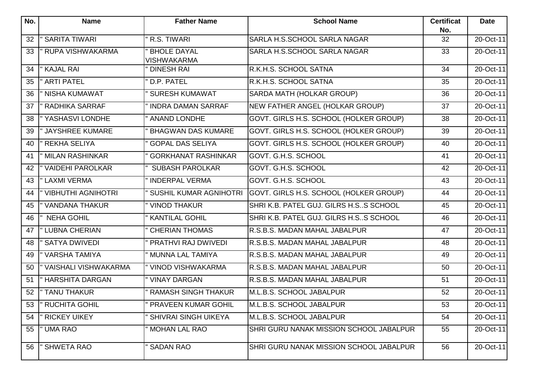| No. | <b>Name</b>                 | <b>Father Name</b>                       | <b>School Name</b>                      | <b>Certificat</b><br>No. | <b>Date</b> |
|-----|-----------------------------|------------------------------------------|-----------------------------------------|--------------------------|-------------|
| 32  | <b>SARITA TIWARI</b>        | R.S. TIWARI                              | SARLA H.S.SCHOOL SARLA NAGAR            | 32                       | 20-Oct-11   |
| 33  | <b>RUPA VISHWAKARMA</b>     | <b>BHOLE DAYAL</b><br><b>VISHWAKARMA</b> | SARLA H.S.SCHOOL SARLA NAGAR            | 33                       | 20-Oct-11   |
| 34  | " KAJAL RAI                 | <b>DINESH RAI</b>                        | R.K.H.S. SCHOOL SATNA                   | 34                       | 20-Oct-11   |
| 35  | <b>ARTI PATEL</b>           | D.P. PATEL                               | R.K.H.S. SCHOOL SATNA                   | 35                       | 20-Oct-11   |
| 36  | <b>NISHA KUMAWAT</b>        | <b>SURESH KUMAWAT</b>                    | SARDA MATH (HOLKAR GROUP)               | 36                       | 20-Oct-11   |
| 37  | <b>RADHIKA SARRAF</b>       | <b>INDRA DAMAN SARRAF</b>                | NEW FATHER ANGEL (HOLKAR GROUP)         | 37                       | 20-Oct-11   |
| 38  | YASHASVI LONDHE             | <b>ANAND LONDHE</b>                      | GOVT. GIRLS H.S. SCHOOL (HOLKER GROUP)  | 38                       | 20-Oct-11   |
| 39  | <b>JAYSHREE KUMARE</b>      | <b>BHAGWAN DAS KUMARE</b>                | GOVT. GIRLS H.S. SCHOOL (HOLKER GROUP)  | 39                       | 20-Oct-11   |
| 40  | <b>REKHA SELIYA</b>         | <b>GOPAL DAS SELIYA</b>                  | GOVT. GIRLS H.S. SCHOOL (HOLKER GROUP)  | 40                       | 20-Oct-11   |
| 41  | <b>MILAN RASHINKAR</b>      | <b>GORKHANAT RASHINKAR</b>               | GOVT, G.H.S. SCHOOL                     | 41                       | 20-Oct-11   |
| 42  | <b>VAIDEHI PAROLKAR</b>     | <b>SUBASH PAROLKAR</b>                   | GOVT. G.H.S. SCHOOL                     | 42                       | 20-Oct-11   |
| 43  | " LAXMI VERMA               | <b>INDERPAL VERMA</b>                    | GOVT. G.H.S. SCHOOL                     | 43                       | 20-Oct-11   |
| 44  | <b>VIBHUTHI AGNIHOTRI</b>   | SUSHIL KUMAR AGNIHOTRI                   | GOVT. GIRLS H.S. SCHOOL (HOLKER GROUP)  | 44                       | 20-Oct-11   |
| 45  | <b>VANDANA THAKUR</b>       | VINOD THAKUR                             | SHRI K.B. PATEL GUJ. GILRS H.SS SCHOOL  | 45                       | 20-Oct-11   |
| 46  | <b>NEHA GOHIL</b>           | <b>KANTILAL GOHIL</b>                    | SHRI K.B. PATEL GUJ. GILRS H.SS SCHOOL  | 46                       | 20-Oct-11   |
| 47  | " LUBNA CHERIAN             | <b>CHERIAN THOMAS</b>                    | R.S.B.S. MADAN MAHAL JABALPUR           | 47                       | 20-Oct-11   |
| 48  | <b>SATYA DWIVEDI</b>        | PRATHVI RAJ DWIVEDI                      | R.S.B.S. MADAN MAHAL JABALPUR           | 48                       | 20-Oct-11   |
| 49  | " VARSHA TAMIYA             | MUNNA LAL TAMIYA                         | R.S.B.S. MADAN MAHAL JABALPUR           | 49                       | 20-Oct-11   |
| 50  | <b>VAISHALI VISHWAKARMA</b> | <b>VINOD VISHWAKARMA</b>                 | R.S.B.S. MADAN MAHAL JABALPUR           | 50                       | 20-Oct-11   |
| 51  | <b>HARSHITA DARGAN</b>      | " VINAY DARGAN                           | R.S.B.S. MADAN MAHAL JABALPUR           | 51                       | 20-Oct-11   |
| 52  | <b>TANU THAKUR</b>          | <b>RAMASH SINGH THAKUR</b>               | M.L.B.S. SCHOOL JABALPUR                | 52                       | 20-Oct-11   |
| 53  | " RUCHITA GOHIL             | PRAVEEN KUMAR GOHIL                      | M.L.B.S. SCHOOL JABALPUR                | 53                       | 20-Oct-11   |
| 54  | <b>RICKEY UIKEY</b>         | <b>SHIVRAI SINGH UIKEYA</b>              | M.L.B.S. SCHOOL JABALPUR                | 54                       | 20-Oct-11   |
| 55  | <b>UMA RAO</b>              | <b>MOHAN LAL RAO</b>                     | SHRI GURU NANAK MISSION SCHOOL JABALPUR | 55                       | 20-Oct-11   |
| 56  | <b>SHWETA RAO</b>           | <b>SADAN RAO</b>                         | SHRI GURU NANAK MISSION SCHOOL JABALPUR | 56                       | 20-Oct-11   |